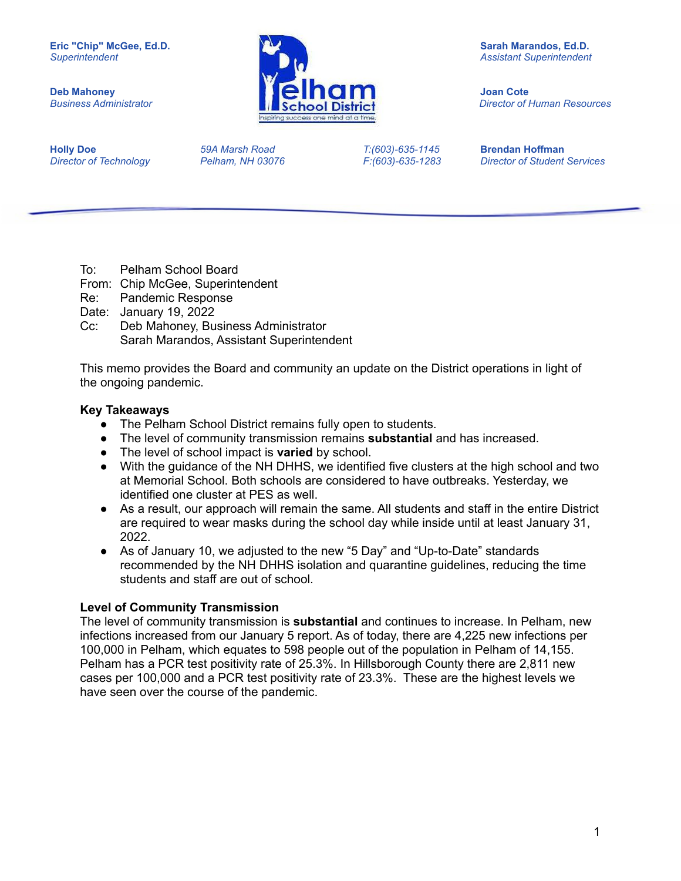

*Business Administrator Director of Human Resources*

**Holly Doe** *59A Marsh Road T:(603)-635-1145* **Brendan Hoffman**

*Director of Technology Pelham, NH 03076 F:(603)-635-1283 Director of Student Services*

- To: Pelham School Board
- From: Chip McGee, Superintendent
- Re: Pandemic Response
- Date: January 19, 2022
- Cc: Deb Mahoney, Business Administrator Sarah Marandos, Assistant Superintendent

This memo provides the Board and community an update on the District operations in light of the ongoing pandemic.

### **Key Takeaways**

- The Pelham School District remains fully open to students.
- The level of community transmission remains **substantial** and has increased.
- The level of school impact is **varied** by school.
- With the guidance of the NH DHHS, we identified five clusters at the high school and two at Memorial School. Both schools are considered to have outbreaks. Yesterday, we identified one cluster at PES as well.
- As a result, our approach will remain the same. All students and staff in the entire District are required to wear masks during the school day while inside until at least January 31, 2022.
- As of January 10, we adjusted to the new "5 Day" and "Up-to-Date" standards recommended by the NH DHHS isolation and quarantine guidelines, reducing the time students and staff are out of school.

### **Level of Community Transmission**

The level of community transmission is **substantial** and continues to increase. In Pelham, new infections increased from our January 5 report. As of today, there are 4,225 new infections per 100,000 in Pelham, which equates to 598 people out of the population in Pelham of 14,155. Pelham has a PCR test positivity rate of 25.3%. In Hillsborough County there are 2,811 new cases per 100,000 and a PCR test positivity rate of 23.3%. These are the highest levels we have seen over the course of the pandemic.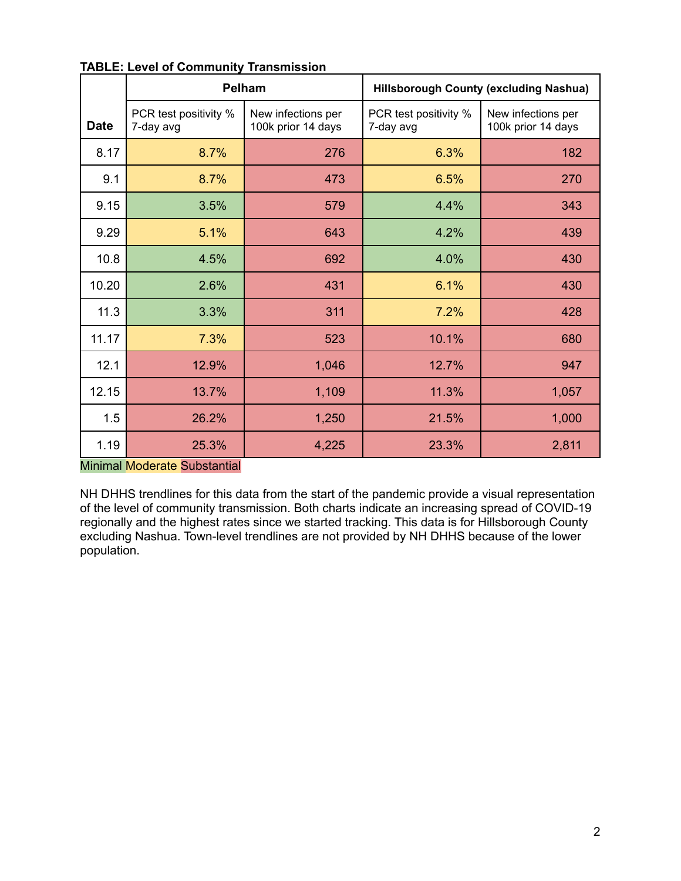|             |                                    | Pelham                                   | <b>Hillsborough County (excluding Nashua)</b> |                                          |  |
|-------------|------------------------------------|------------------------------------------|-----------------------------------------------|------------------------------------------|--|
| <b>Date</b> | PCR test positivity %<br>7-day avg | New infections per<br>100k prior 14 days | PCR test positivity %<br>7-day avg            | New infections per<br>100k prior 14 days |  |
| 8.17        | 8.7%                               | 276                                      | 6.3%                                          | 182                                      |  |
| 9.1         | 8.7%                               | 473                                      | 6.5%                                          | 270                                      |  |
| 9.15        | 3.5%                               | 579                                      | 4.4%                                          | 343                                      |  |
| 9.29        | 5.1%                               | 643                                      | 4.2%                                          | 439                                      |  |
| 10.8        | 4.5%                               | 692                                      | 4.0%                                          | 430                                      |  |
| 10.20       | 2.6%                               | 431                                      | 6.1%                                          | 430                                      |  |
| 11.3        | 3.3%                               | 311                                      | 7.2%                                          | 428                                      |  |
| 11.17       | 7.3%                               | 523                                      | 10.1%                                         | 680                                      |  |
| 12.1        | 12.9%                              | 1,046                                    | 12.7%                                         | 947                                      |  |
| 12.15       | 13.7%                              | 1,109                                    | 11.3%                                         | 1,057                                    |  |
| 1.5         | 26.2%                              | 1,250                                    | 21.5%                                         | 1,000                                    |  |
| 1.19        | 25.3%                              | 4,225                                    | 23.3%                                         | 2,811                                    |  |

#### **TABLE: Level of Community Transmission**

Minimal Moderate Substantial

NH DHHS trendlines for this data from the start of the pandemic provide a visual representation of the level of community transmission. Both charts indicate an increasing spread of COVID-19 regionally and the highest rates since we started tracking. This data is for Hillsborough County excluding Nashua. Town-level trendlines are not provided by NH DHHS because of the lower population.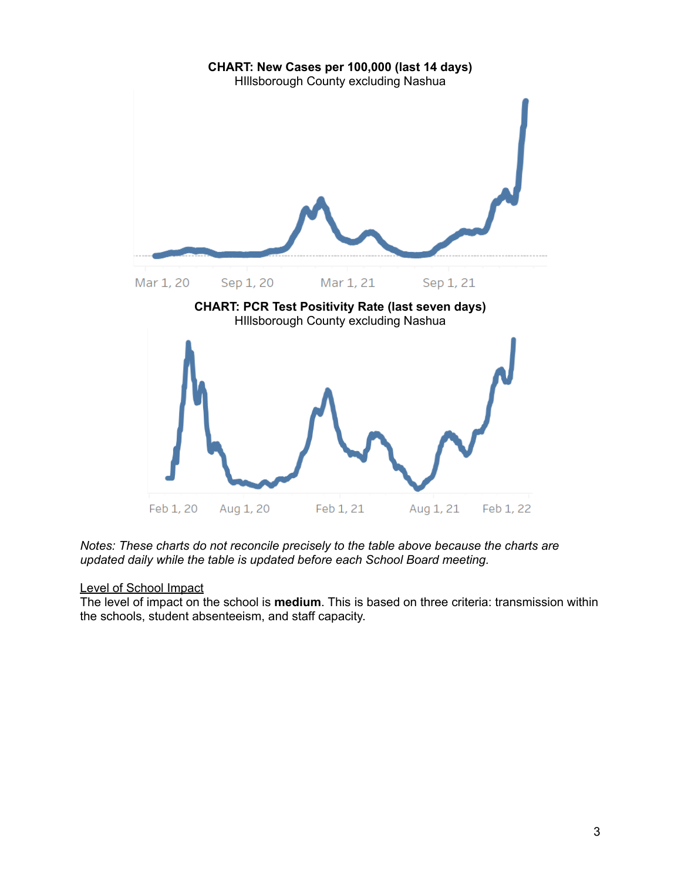

*Notes: These charts do not reconcile precisely to the table above because the charts are updated daily while the table is updated before each School Board meeting.*

### Level of School Impact

The level of impact on the school is **medium**. This is based on three criteria: transmission within the schools, student absenteeism, and staff capacity.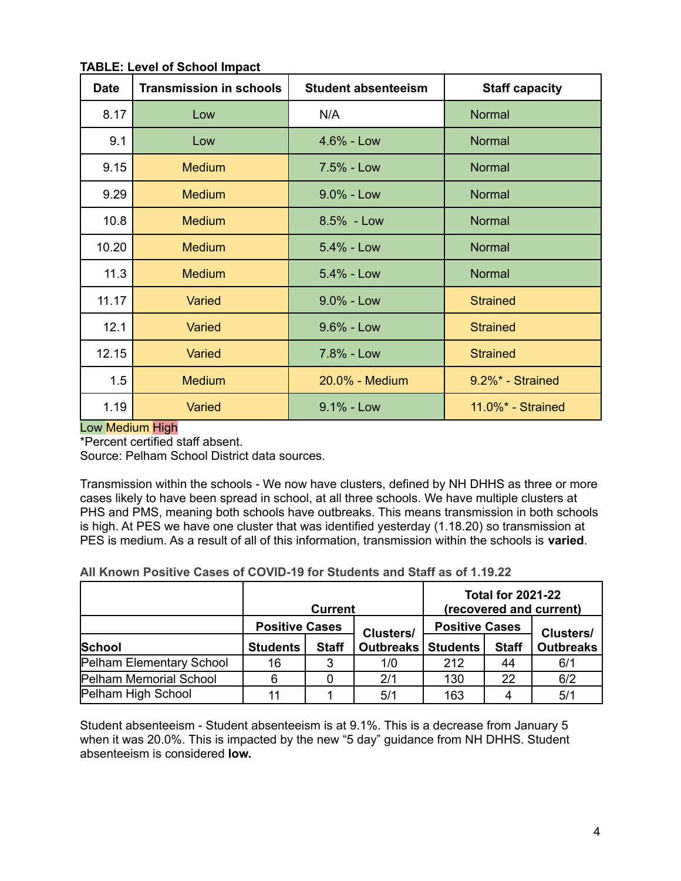| <b>Date</b> | <b>Transmission in schools</b> | <b>Student absenteeism</b> | <b>Staff capacity</b> |
|-------------|--------------------------------|----------------------------|-----------------------|
| 8.17        | Low                            | N/A                        | Normal                |
| 9.1         | Low                            | $4.6% - Low$               | Normal                |
| 9.15        | <b>Medium</b>                  | 7.5% - Low                 | <b>Normal</b>         |
| 9.29        | <b>Medium</b>                  | 9.0% - Low                 | Normal                |
| 10.8        | <b>Medium</b>                  | 8.5% - Low                 | Normal                |
| 10.20       | <b>Medium</b>                  | $5.4% - Low$               | Normal                |
| 11.3        | <b>Medium</b>                  | $5.4\%$ - Low              | Normal                |
| 11.17       | Varied                         | $9.0\%$ - Low              | <b>Strained</b>       |
| 12.1        | Varied                         | $9.6\%$ - Low              | <b>Strained</b>       |
| 12.15       | Varied                         | 7.8% - Low                 | <b>Strained</b>       |
| 1.5         | <b>Medium</b>                  | 20.0% - Medium             | 9.2%* - Strained      |
| 1.19        | <b>Varied</b>                  | 9.1% - Low                 | 11.0%* - Strained     |

**TABLE: Level of School Impact**

### Low Medium High

\*Percent certified staff absent.

Source: Pelham School District data sources.

Transmission within the schools - We now have clusters, defined by NH DHHS as three or more cases likely to have been spread in school, at all three schools. We have multiple clusters at PHS and PMS, meaning both schools have outbreaks. This means transmission in both schools is high. At PES we have one cluster that was identified yesterday (1.18.20) so transmission at PES is medium. As a result of all of this information, transmission within the schools is **varied**.

**All Known Positive Cases of COVID-19 for Students and Staff as of 1.19.22**

|                          | <b>Current</b>  |                                                                    |           |                  | <b>Total for 2021-22</b> | (recovered and current) |
|--------------------------|-----------------|--------------------------------------------------------------------|-----------|------------------|--------------------------|-------------------------|
|                          |                 | <b>Positive Cases</b><br><b>Positive Cases</b><br><b>Clusters/</b> |           | <b>Clusters/</b> |                          |                         |
| <b>School</b>            | <b>Students</b> | <b>Staff</b>                                                       | Outbreaks | <b>Students</b>  | <b>Staff</b>             | <b>Outbreaks</b>        |
| Pelham Elementary School | 16              | 3                                                                  | 1/0       | 212              | 44                       | 6/1                     |
| Pelham Memorial School   | 6               |                                                                    | 2/1       | 130              | 22                       | 6/2                     |
| Pelham High School       | 11              |                                                                    | 5/1       | 163              |                          | 5/1                     |

Student absenteeism - Student absenteeism is at 9.1%. This is a decrease from January 5 when it was 20.0%. This is impacted by the new "5 day" guidance from NH DHHS. Student absenteeism is considered **low.**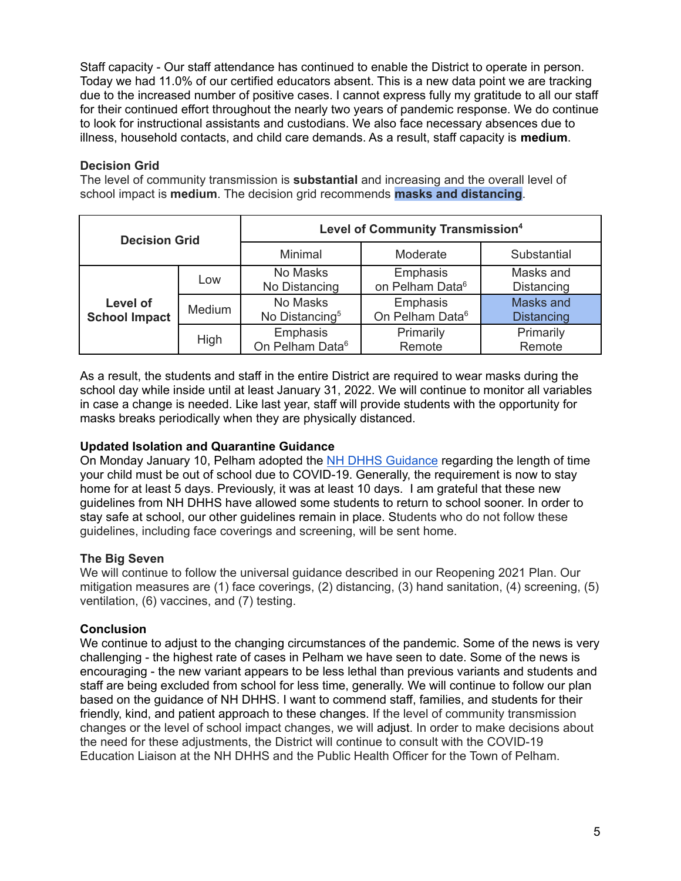Staff capacity - Our staff attendance has continued to enable the District to operate in person. Today we had 11.0% of our certified educators absent. This is a new data point we are tracking due to the increased number of positive cases. I cannot express fully my gratitude to all our staff for their continued effort throughout the nearly two years of pandemic response. We do continue to look for instructional assistants and custodians. We also face necessary absences due to illness, household contacts, and child care demands. As a result, staff capacity is **medium**.

## **Decision Grid**

The level of community transmission is **substantial** and increasing and the overall level of school impact is **medium**. The decision grid recommends **masks and distancing**.

| <b>Decision Grid</b>             |        | <b>Level of Community Transmission4</b> |                                         |                                |  |
|----------------------------------|--------|-----------------------------------------|-----------------------------------------|--------------------------------|--|
|                                  |        | Minimal                                 | Moderate                                | Substantial                    |  |
|                                  | Low    | No Masks<br>No Distancing               | Emphasis<br>on Pelham Data <sup>6</sup> | Masks and<br>Distancing        |  |
| Level of<br><b>School Impact</b> | Medium | No Masks<br>No Distancing <sup>5</sup>  | Emphasis<br>On Pelham Data <sup>6</sup> | Masks and<br><b>Distancing</b> |  |
|                                  | High   | Emphasis<br>On Pelham Data <sup>6</sup> | Primarily<br>Remote                     | Primarily<br>Remote            |  |

As a result, the students and staff in the entire District are required to wear masks during the school day while inside until at least January 31, 2022. We will continue to monitor all variables in case a change is needed. Like last year, staff will provide students with the opportunity for masks breaks periodically when they are physically distanced.

### **Updated Isolation and Quarantine Guidance**

On Monday January 10, Pelham adopted the NH DHHS [Guidance](https://www.covid19.nh.gov/sites/g/files/ehbemt481/files/inline-documents/sonh/isolation-and-quarantine-recommendations_0.pdf) regarding the length of time your child must be out of school due to COVID-19. Generally, the requirement is now to stay home for at least 5 days. Previously, it was at least 10 days. I am grateful that these new guidelines from NH DHHS have allowed some students to return to school sooner. In order to stay safe at school, our other guidelines remain in place. Students who do not follow these guidelines, including face coverings and screening, will be sent home.

# **The Big Seven**

We will continue to follow the universal guidance described in our Reopening 2021 Plan. Our mitigation measures are (1) face coverings, (2) distancing, (3) hand sanitation, (4) screening, (5) ventilation, (6) vaccines, and (7) testing.

### **Conclusion**

We continue to adjust to the changing circumstances of the pandemic. Some of the news is very challenging - the highest rate of cases in Pelham we have seen to date. Some of the news is encouraging - the new variant appears to be less lethal than previous variants and students and staff are being excluded from school for less time, generally. We will continue to follow our plan based on the guidance of NH DHHS. I want to commend staff, families, and students for their friendly, kind, and patient approach to these changes. If the level of community transmission changes or the level of school impact changes, we will adjust. In order to make decisions about the need for these adjustments, the District will continue to consult with the COVID-19 Education Liaison at the NH DHHS and the Public Health Officer for the Town of Pelham.